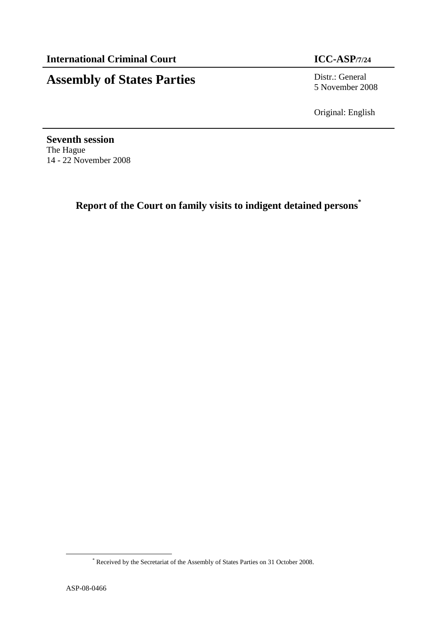# **Assembly of States Parties** Distr.: General

5 November 2008

Original: English

**Seventh session**  The Hague 14 - 22 November 2008

**Report of the Court on family visits to indigent detained persons\***

<sup>\*</sup> Received by the Secretariat of the Assembly of States Parties on 31 October 2008.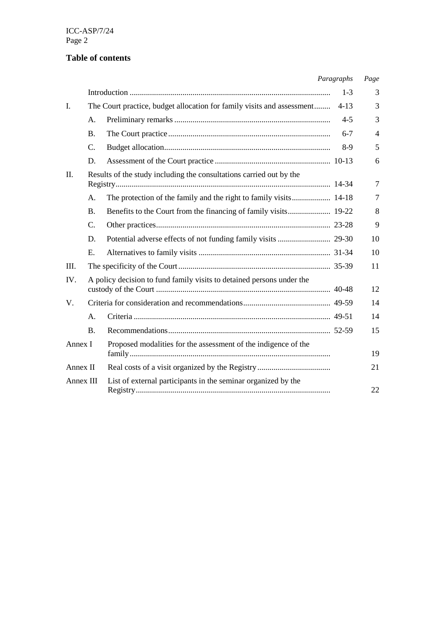ICC-ASP/7/24 Page 2

## **Table of contents**

|           |                |                                                                        | Paragraphs | Page           |
|-----------|----------------|------------------------------------------------------------------------|------------|----------------|
|           |                |                                                                        | $1 - 3$    | 3              |
| I.        |                | The Court practice, budget allocation for family visits and assessment | $4 - 13$   | 3              |
|           | A.             |                                                                        | $4 - 5$    | 3              |
|           | <b>B.</b>      |                                                                        | $6 - 7$    | $\overline{4}$ |
|           | $\mathbf{C}$ . |                                                                        | $8-9$      | 5              |
|           | D.             |                                                                        |            | 6              |
| II.       |                | Results of the study including the consultations carried out by the    |            | 7              |
|           | A.             |                                                                        |            | $\tau$         |
|           | <b>B.</b>      |                                                                        |            | 8              |
|           | $\mathbf{C}$ . |                                                                        |            | 9              |
|           | D.             |                                                                        |            | 10             |
|           | E.             |                                                                        |            | 10             |
| III.      |                |                                                                        |            | 11             |
| IV.       |                | A policy decision to fund family visits to detained persons under the  |            | 12             |
| V.        |                |                                                                        |            | 14             |
|           | А.             |                                                                        |            | 14             |
|           | <b>B.</b>      |                                                                        |            | 15             |
| Annex I   |                | Proposed modalities for the assessment of the indigence of the         |            | 19             |
| Annex II  |                |                                                                        |            | 21             |
| Annex III |                | List of external participants in the seminar organized by the          |            | 22             |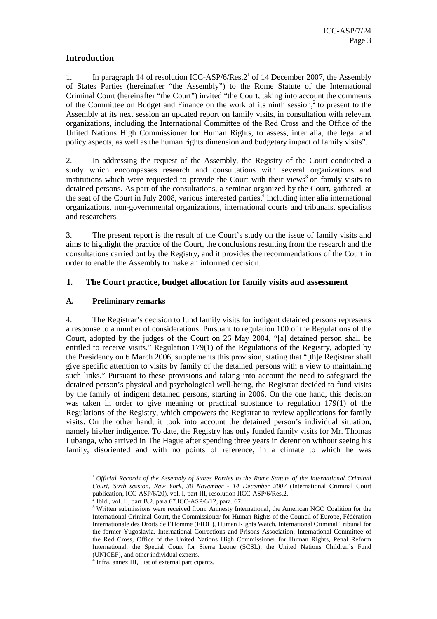#### **Introduction**

1. In paragraph 14 of resolution ICC-ASP/6/Res.2<sup>1</sup> of 14 December 2007, the Assembly of States Parties (hereinafter "the Assembly") to the Rome Statute of the International Criminal Court (hereinafter "the Court") invited "the Court, taking into account the comments of the Committee on Budget and Finance on the work of its ninth session, $2$  to present to the Assembly at its next session an updated report on family visits, in consultation with relevant organizations, including the International Committee of the Red Cross and the Office of the United Nations High Commissioner for Human Rights, to assess, inter alia, the legal and policy aspects, as well as the human rights dimension and budgetary impact of family visits".

2. In addressing the request of the Assembly, the Registry of the Court conducted a study which encompasses research and consultations with several organizations and institutions which were requested to provide the Court with their views<sup>3</sup> on family visits to detained persons. As part of the consultations, a seminar organized by the Court, gathered, at the seat of the Court in July 2008, various interested parties, $\frac{4}{3}$  including inter alia international organizations, non-governmental organizations, international courts and tribunals, specialists and researchers.

3. The present report is the result of the Court's study on the issue of family visits and aims to highlight the practice of the Court, the conclusions resulting from the research and the consultations carried out by the Registry, and it provides the recommendations of the Court in order to enable the Assembly to make an informed decision.

#### **I. The Court practice, budget allocation for family visits and assessment**

#### **A. Preliminary remarks**

 $\overline{a}$ 

4. The Registrar's decision to fund family visits for indigent detained persons represents a response to a number of considerations. Pursuant to regulation 100 of the Regulations of the Court, adopted by the judges of the Court on 26 May 2004, "[a] detained person shall be entitled to receive visits." Regulation 179(1) of the Regulations of the Registry, adopted by the Presidency on 6 March 2006, supplements this provision, stating that "[th]e Registrar shall give specific attention to visits by family of the detained persons with a view to maintaining such links." Pursuant to these provisions and taking into account the need to safeguard the detained person's physical and psychological well-being, the Registrar decided to fund visits by the family of indigent detained persons, starting in 2006. On the one hand, this decision was taken in order to give meaning or practical substance to regulation 179(1) of the Regulations of the Registry, which empowers the Registrar to review applications for family visits. On the other hand, it took into account the detained person's individual situation, namely his/her indigence. To date, the Registry has only funded family visits for Mr. Thomas Lubanga, who arrived in The Hague after spending three years in detention without seeing his family, disoriented and with no points of reference, in a climate to which he was

<sup>1</sup> *Official Records of the Assembly of States Parties to the Rome Statute of the International Criminal Court, Sixth session, New York, 30 November - 14 December 2007* (International Criminal Court publication, ICC-ASP/6/20), vol. I, part III, resolution IICC-ASP/6/Res.2.<br> $^{2}$  Ibid., vol. II, part B.2, para 67 ICC, ASP/6/12, para 67

Ibid., vol. II, part B.2. para.67.ICC-ASP/6/12, para. 67.

<sup>&</sup>lt;sup>3</sup> Written submissions were received from: Amnesty International, the American NGO Coalition for the International Criminal Court, the Commissioner for Human Rights of the Council of Europe, Fédération Internationale des Droits de l'Homme (FIDH), Human Rights Watch, International Criminal Tribunal for the former Yugoslavia, International Corrections and Prisons Association, International Committee of the Red Cross, Office of the United Nations High Commissioner for Human Rights, Penal Reform International, the Special Court for Sierra Leone (SCSL), the United Nations Children's Fund (UNICEF), and other individual experts.

<sup>4</sup> Infra, annex III, List of external participants.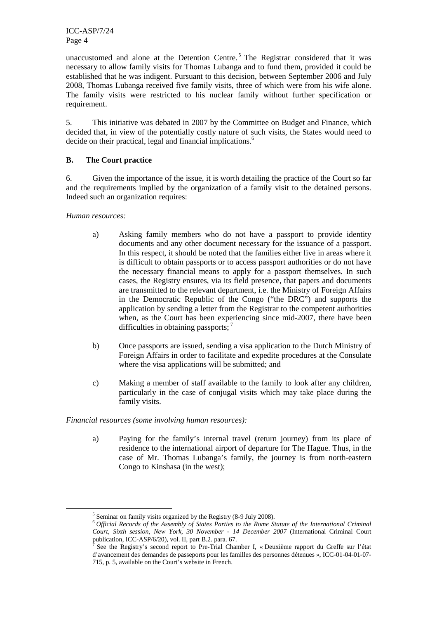ICC-ASP/7/24 Page 4

unaccustomed and alone at the Detention Centre.<sup>5</sup> The Registrar considered that it was necessary to allow family visits for Thomas Lubanga and to fund them, provided it could be established that he was indigent. Pursuant to this decision, between September 2006 and July 2008, Thomas Lubanga received five family visits, three of which were from his wife alone. The family visits were restricted to his nuclear family without further specification or requirement.

5. This initiative was debated in 2007 by the Committee on Budget and Finance, which decided that, in view of the potentially costly nature of such visits, the States would need to decide on their practical, legal and financial implications.<sup>6</sup>

#### **B. The Court practice**

6. Given the importance of the issue, it is worth detailing the practice of the Court so far and the requirements implied by the organization of a family visit to the detained persons. Indeed such an organization requires:

*Human resources:* 

 $\overline{a}$ 

- a) Asking family members who do not have a passport to provide identity documents and any other document necessary for the issuance of a passport. In this respect, it should be noted that the families either live in areas where it is difficult to obtain passports or to access passport authorities or do not have the necessary financial means to apply for a passport themselves. In such cases, the Registry ensures, via its field presence, that papers and documents are transmitted to the relevant department, i.e. the Ministry of Foreign Affairs in the Democratic Republic of the Congo ("the DRC") and supports the application by sending a letter from the Registrar to the competent authorities when, as the Court has been experiencing since mid-2007, there have been difficulties in obtaining passports;  $<sup>7</sup>$ </sup>
- b) Once passports are issued, sending a visa application to the Dutch Ministry of Foreign Affairs in order to facilitate and expedite procedures at the Consulate where the visa applications will be submitted; and
- c) Making a member of staff available to the family to look after any children, particularly in the case of conjugal visits which may take place during the family visits.

#### *Financial resources (some involving human resources):*

a) Paying for the family's internal travel (return journey) from its place of residence to the international airport of departure for The Hague. Thus, in the case of Mr. Thomas Lubanga's family, the journey is from north-eastern Congo to Kinshasa (in the west);

<sup>&</sup>lt;sup>5</sup> Seminar on family visits organized by the Registry (8-9 July 2008).

<sup>6</sup> *Official Records of the Assembly of States Parties to the Rome Statute of the International Criminal Court, Sixth session, New York, 30 November - 14 December 2007* (International Criminal Court publication, ICC-ASP/6/20), vol. II, part B.2. para. 67.

<sup>7</sup> See the Registry's second report to Pre-Trial Chamber I, « Deuxième rapport du Greffe sur l'état d'avancement des demandes de passeports pour les familles des personnes détenues », ICC-01-04-01-07- 715, p. 5, available on the Court's website in French.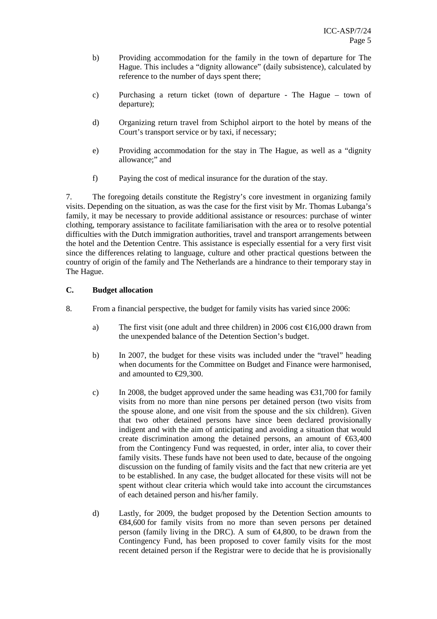- b) Providing accommodation for the family in the town of departure for The Hague. This includes a "dignity allowance" (daily subsistence), calculated by reference to the number of days spent there;
- c) Purchasing a return ticket (town of departure The Hague town of departure);
- d) Organizing return travel from Schiphol airport to the hotel by means of the Court's transport service or by taxi, if necessary;
- e) Providing accommodation for the stay in The Hague, as well as a "dignity allowance;" and
- f) Paying the cost of medical insurance for the duration of the stay.

7. The foregoing details constitute the Registry's core investment in organizing family visits. Depending on the situation, as was the case for the first visit by Mr. Thomas Lubanga's family, it may be necessary to provide additional assistance or resources: purchase of winter clothing, temporary assistance to facilitate familiarisation with the area or to resolve potential difficulties with the Dutch immigration authorities, travel and transport arrangements between the hotel and the Detention Centre. This assistance is especially essential for a very first visit since the differences relating to language, culture and other practical questions between the country of origin of the family and The Netherlands are a hindrance to their temporary stay in The Hague.

#### **C. Budget allocation**

- 8. From a financial perspective, the budget for family visits has varied since 2006:
	- a) The first visit (one adult and three children) in 2006 cost  $\epsilon$  16,000 drawn from the unexpended balance of the Detention Section's budget.
	- b) In 2007, the budget for these visits was included under the "travel" heading when documents for the Committee on Budget and Finance were harmonised, and amounted to €29,300.
	- c) In 2008, the budget approved under the same heading was  $\epsilon$ 31,700 for family visits from no more than nine persons per detained person (two visits from the spouse alone, and one visit from the spouse and the six children). Given that two other detained persons have since been declared provisionally indigent and with the aim of anticipating and avoiding a situation that would create discrimination among the detained persons, an amount of  $\epsilon$ 63,400 from the Contingency Fund was requested, in order, inter alia, to cover their family visits. These funds have not been used to date, because of the ongoing discussion on the funding of family visits and the fact that new criteria are yet to be established. In any case, the budget allocated for these visits will not be spent without clear criteria which would take into account the circumstances of each detained person and his/her family.
	- d) Lastly, for 2009, the budget proposed by the Detention Section amounts to €84,600 for family visits from no more than seven persons per detained person (family living in the DRC). A sum of  $\epsilon$ 4,800, to be drawn from the Contingency Fund, has been proposed to cover family visits for the most recent detained person if the Registrar were to decide that he is provisionally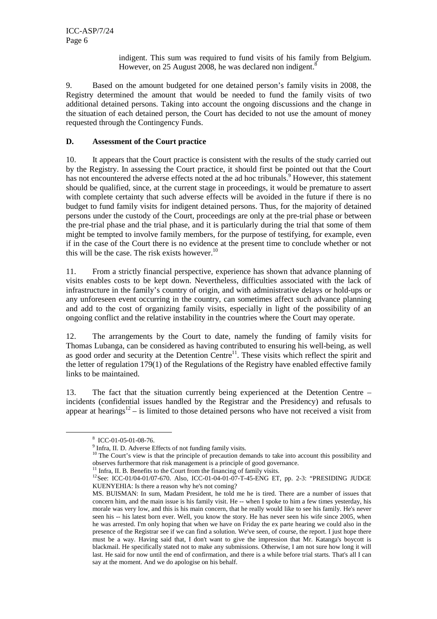indigent. This sum was required to fund visits of his family from Belgium. However, on 25 August 2008, he was declared non indigent. $8$ 

9. Based on the amount budgeted for one detained person's family visits in 2008, the Registry determined the amount that would be needed to fund the family visits of two additional detained persons. Taking into account the ongoing discussions and the change in the situation of each detained person, the Court has decided to not use the amount of money requested through the Contingency Funds.

#### **D. Assessment of the Court practice**

10. It appears that the Court practice is consistent with the results of the study carried out by the Registry. In assessing the Court practice, it should first be pointed out that the Court has not encountered the adverse effects noted at the ad hoc tribunals.<sup>9</sup> However, this statement should be qualified, since, at the current stage in proceedings, it would be premature to assert with complete certainty that such adverse effects will be avoided in the future if there is no budget to fund family visits for indigent detained persons. Thus, for the majority of detained persons under the custody of the Court, proceedings are only at the pre-trial phase or between the pre-trial phase and the trial phase, and it is particularly during the trial that some of them might be tempted to involve family members, for the purpose of testifying, for example, even if in the case of the Court there is no evidence at the present time to conclude whether or not this will be the case. The risk exists however. $10$ 

11. From a strictly financial perspective, experience has shown that advance planning of visits enables costs to be kept down. Nevertheless, difficulties associated with the lack of infrastructure in the family's country of origin, and with administrative delays or hold-ups or any unforeseen event occurring in the country, can sometimes affect such advance planning and add to the cost of organizing family visits, especially in light of the possibility of an ongoing conflict and the relative instability in the countries where the Court may operate.

12. The arrangements by the Court to date, namely the funding of family visits for Thomas Lubanga, can be considered as having contributed to ensuring his well-being, as well as good order and security at the Detention Centre<sup>11</sup>. These visits which reflect the spirit and the letter of regulation 179(1) of the Regulations of the Registry have enabled effective family links to be maintained.

13. The fact that the situation currently being experienced at the Detention Centre – incidents (confidential issues handled by the Registrar and the Presidency) and refusals to appear at hearings<sup>12</sup> – is limited to those detained persons who have not received a visit from

<sup>8</sup> ICC-01-05-01-08-76.

<sup>&</sup>lt;sup>9</sup> Infra, II. D. Adverse Effects of not funding family visits.

<sup>&</sup>lt;sup>10</sup> The Court's view is that the principle of precaution demands to take into account this possibility and observes furthermore that risk management is a principle of good governance.

<sup>&</sup>lt;sup>11</sup> Infra, II. B. Benefits to the Court from the financing of family visits.

<sup>12</sup>See: ICC-01/04-01/07-670. Also, ICC-01-04-01-07-T-45-ENG ET, pp. 2-3: "PRESIDING JUDGE KUENYEHIA: Is there a reason why he's not coming?

MS. BUISMAN: In sum, Madam President, he told me he is tired. There are a number of issues that concern him, and the main issue is his family visit. He -- when I spoke to him a few times yesterday, his morale was very low, and this is his main concern, that he really would like to see his family. He's never seen his -- his latest born ever. Well, you know the story. He has never seen his wife since 2005, when he was arrested. I'm only hoping that when we have on Friday the ex parte hearing we could also in the presence of the Registrar see if we can find a solution. We've seen, of course, the report. I just hope there must be a way. Having said that, I don't want to give the impression that Mr. Katanga's boycott is blackmail. He specifically stated not to make any submissions. Otherwise, I am not sure how long it will last. He said for now until the end of confirmation, and there is a while before trial starts. That's all I can say at the moment. And we do apologise on his behalf.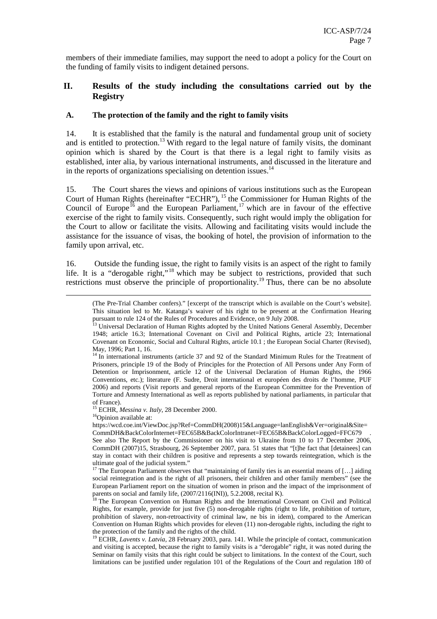members of their immediate families, may support the need to adopt a policy for the Court on the funding of family visits to indigent detained persons.

#### **II. Results of the study including the consultations carried out by the Registry**

#### **A. The protection of the family and the right to family visits**

14. It is established that the family is the natural and fundamental group unit of society and is entitled to protection.<sup>13</sup> With regard to the legal nature of family visits, the dominant opinion which is shared by the Court is that there is a legal right to family visits as established, inter alia, by various international instruments, and discussed in the literature and in the reports of organizations specialising on detention issues. $14$ 

15. The Court shares the views and opinions of various institutions such as the European Court of Human Rights (hereinafter "ECHR"), <sup>15</sup> the Commissioner for Human Rights of the Council of Europe<sup>16</sup> and the European Parliament,<sup>17</sup> which are in favour of the effective exercise of the right to family visits. Consequently, such right would imply the obligation for the Court to allow or facilitate the visits. Allowing and facilitating visits would include the assistance for the issuance of visas, the booking of hotel, the provision of information to the family upon arrival, etc.

16. Outside the funding issue, the right to family visits is an aspect of the right to family life. It is a "derogable right,"<sup>18</sup> which may be subject to restrictions, provided that such restrictions must observe the principle of proportionality.<sup>19</sup> Thus, there can be no absolute

<sup>15</sup> ECHR, *Messina v. Italy*, 28 December 2000.

<sup>16</sup>Opinion available at:

 $\overline{a}$ 

https://wcd.coe.int/ViewDoc.jsp?Ref=CommDH(2008)15&Language=lanEnglish&Ver=original&Site= CommDH&BackColorInternet=FEC65B&BackColorIntranet=FEC65B&BackColorLogged=FFC679 .

<sup>(</sup>The Pre-Trial Chamber confers)." [excerpt of the transcript which is available on the Court's website]. This situation led to Mr. Katanga's waiver of his right to be present at the Confirmation Hearing pursuant to rule 124 of the Rules of Procedures and Evidence, on 9 July 2008.

<sup>&</sup>lt;sup>13</sup> Universal Declaration of Human Rights adopted by the United Nations General Assembly, December 1948; article 16.3; International Covenant on Civil and Political Rights, article 23; International Covenant on Economic, Social and Cultural Rights, article 10.1 ; the European Social Charter (Revised), May, 1996; Part 1, 16.

<sup>&</sup>lt;sup>14</sup> In international instruments (article 37 and 92 of the Standard Minimum Rules for the Treatment of Prisoners, principle 19 of the Body of Principles for the Protection of All Persons under Any Form of Detention or Imprisonment, article 12 of the Universal Declaration of Human Rights, the 1966 Conventions, etc.); literature (F. Sudre, Droit international et européen des droits de l'homme, PUF 2006) and reports (Visit reports and general reports of the European Committee for the Prevention of Torture and Amnesty International as well as reports published by national parliaments, in particular that of France).

See also The Report by the Commissioner on his visit to Ukraine from 10 to 17 December 2006, CommDH (2007)15, Strasbourg, 26 September 2007, para. 51 states that "[t]he fact that [detainees] can stay in contact with their children is positive and represents a step towards reintegration, which is the ultimate goal of the judicial system."

<sup>&</sup>lt;sup>17</sup> The European Parliament observes that "maintaining of family ties is an essential means of [...] aiding social reintegration and is the right of all prisoners, their children and other family members" (see the European Parliament report on the situation of women in prison and the impact of the imprisonment of parents on social and family life,  $(2007/2116\text{(INI)}), 5.2.2008$ , recital K).

<sup>&</sup>lt;sup>8</sup> The European Convention on Human Rights and the International Covenant on Civil and Political Rights, for example, provide for just five (5) non-derogable rights (right to life, prohibition of torture, prohibition of slavery, non-retroactivity of criminal law, ne bis in idem), compared to the American Convention on Human Rights which provides for eleven (11) non-derogable rights, including the right to the protection of the family and the rights of the child.

<sup>&</sup>lt;sup>19</sup> ECHR, *Lavents v. Latvia*, 28 February 2003, para. 141. While the principle of contact, communication and visiting is accepted, because the right to family visits is a "derogable" right, it was noted during the Seminar on family visits that this right could be subject to limitations. In the context of the Court, such limitations can be justified under regulation 101 of the Regulations of the Court and regulation 180 of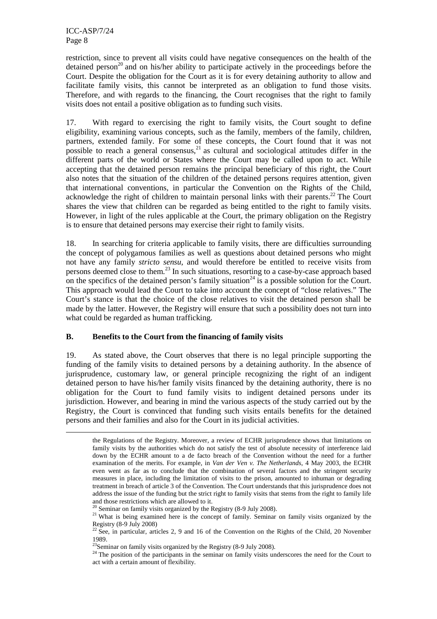$\overline{a}$ 

restriction, since to prevent all visits could have negative consequences on the health of the detained person<sup>20</sup> and on his/her ability to participate actively in the proceedings before the Court. Despite the obligation for the Court as it is for every detaining authority to allow and facilitate family visits, this cannot be interpreted as an obligation to fund those visits. Therefore, and with regards to the financing, the Court recognises that the right to family visits does not entail a positive obligation as to funding such visits.

17. With regard to exercising the right to family visits, the Court sought to define eligibility, examining various concepts, such as the family, members of the family, children, partners, extended family. For some of these concepts, the Court found that it was not possible to reach a general consensus,  $2<sup>1</sup>$  as cultural and sociological attitudes differ in the different parts of the world or States where the Court may be called upon to act. While accepting that the detained person remains the principal beneficiary of this right, the Court also notes that the situation of the children of the detained persons requires attention, given that international conventions, in particular the Convention on the Rights of the Child, acknowledge the right of children to maintain personal links with their parents.<sup>22</sup> The Court shares the view that children can be regarded as being entitled to the right to family visits. However, in light of the rules applicable at the Court, the primary obligation on the Registry is to ensure that detained persons may exercise their right to family visits.

18. In searching for criteria applicable to family visits, there are difficulties surrounding the concept of polygamous families as well as questions about detained persons who might not have any family *stricto sensu*, and would therefore be entitled to receive visits from persons deemed close to them.<sup>23</sup> In such situations, resorting to a case-by-case approach based on the specifics of the detained person's family situation<sup>24</sup> is a possible solution for the Court. This approach would lead the Court to take into account the concept of "close relatives." The Court's stance is that the choice of the close relatives to visit the detained person shall be made by the latter. However, the Registry will ensure that such a possibility does not turn into what could be regarded as human trafficking.

#### **B. Benefits to the Court from the financing of family visits**

19. As stated above, the Court observes that there is no legal principle supporting the funding of the family visits to detained persons by a detaining authority. In the absence of jurisprudence, customary law, or general principle recognizing the right of an indigent detained person to have his/her family visits financed by the detaining authority, there is no obligation for the Court to fund family visits to indigent detained persons under its jurisdiction. However, and bearing in mind the various aspects of the study carried out by the Registry, the Court is convinced that funding such visits entails benefits for the detained persons and their families and also for the Court in its judicial activities.

the Regulations of the Registry. Moreover, a review of ECHR jurisprudence shows that limitations on family visits by the authorities which do not satisfy the test of absolute necessity of interference laid down by the ECHR amount to a de facto breach of the Convention without the need for a further examination of the merits. For example, in *Van der Ven v. The Netherlands*, 4 May 2003, the ECHR even went as far as to conclude that the combination of several factors and the stringent security measures in place, including the limitation of visits to the prison, amounted to inhuman or degrading treatment in breach of article 3 of the Convention. The Court understands that this jurisprudence does not address the issue of the funding but the strict right to family visits that stems from the right to family life and those restrictions which are allowed to it.

 $\sigma$ <sup>0</sup> Seminar on family visits organized by the Registry (8-9 July 2008).

<sup>&</sup>lt;sup>21</sup> What is being examined here is the concept of family. Seminar on family visits organized by the Registry (8-9 July 2008)

 $^{22}$  See, in particular, articles 2, 9 and 16 of the Convention on the Rights of the Child, 20 November 1989.

 $^{23}$ Seminar on family visits organized by the Registry (8-9 July 2008).

<sup>&</sup>lt;sup>24</sup> The position of the participants in the seminar on family visits underscores the need for the Court to act with a certain amount of flexibility.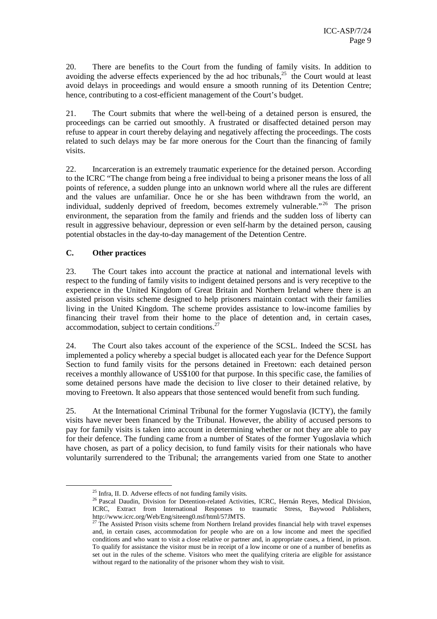20. There are benefits to the Court from the funding of family visits. In addition to avoiding the adverse effects experienced by the ad hoc tribunals, $25$  the Court would at least avoid delays in proceedings and would ensure a smooth running of its Detention Centre; hence, contributing to a cost-efficient management of the Court's budget.

21. The Court submits that where the well-being of a detained person is ensured, the proceedings can be carried out smoothly. A frustrated or disaffected detained person may refuse to appear in court thereby delaying and negatively affecting the proceedings. The costs related to such delays may be far more onerous for the Court than the financing of family visits.

22. Incarceration is an extremely traumatic experience for the detained person. According to the ICRC "The change from being a free individual to being a prisoner means the loss of all points of reference, a sudden plunge into an unknown world where all the rules are different and the values are unfamiliar. Once he or she has been withdrawn from the world, an individual, suddenly deprived of freedom, becomes extremely vulnerable."<sup>26</sup> The prison environment, the separation from the family and friends and the sudden loss of liberty can result in aggressive behaviour, depression or even self-harm by the detained person, causing potential obstacles in the day-to-day management of the Detention Centre.

#### **C. Other practices**

 $\overline{a}$ 

23. The Court takes into account the practice at national and international levels with respect to the funding of family visits to indigent detained persons and is very receptive to the experience in the United Kingdom of Great Britain and Northern Ireland where there is an assisted prison visits scheme designed to help prisoners maintain contact with their families living in the United Kingdom. The scheme provides assistance to low-income families by financing their travel from their home to the place of detention and, in certain cases, accommodation, subject to certain conditions.<sup>27</sup>

24. The Court also takes account of the experience of the SCSL. Indeed the SCSL has implemented a policy whereby a special budget is allocated each year for the Defence Support Section to fund family visits for the persons detained in Freetown: each detained person receives a monthly allowance of US\$100 for that purpose. In this specific case, the families of some detained persons have made the decision to live closer to their detained relative, by moving to Freetown. It also appears that those sentenced would benefit from such funding.

25. At the International Criminal Tribunal for the former Yugoslavia (ICTY), the family visits have never been financed by the Tribunal. However, the ability of accused persons to pay for family visits is taken into account in determining whether or not they are able to pay for their defence. The funding came from a number of States of the former Yugoslavia which have chosen, as part of a policy decision, to fund family visits for their nationals who have voluntarily surrendered to the Tribunal; the arrangements varied from one State to another

<sup>25</sup> Infra, II. D. Adverse effects of not funding family visits*.*

<sup>&</sup>lt;sup>26</sup> Pascal Daudin, Division for Detention-related Activities, ICRC, Hernán Reyes, Medical Division, ICRC, Extract from International Responses to traumatic Stress, Baywood Publishers, http://www.icrc.org/Web/Eng/siteeng0.nsf/html/57JMTS.

<sup>&</sup>lt;sup>27</sup> The Assisted Prison visits scheme from Northern Ireland provides financial help with travel expenses and, in certain cases, accommodation for people who are on a low income and meet the specified conditions and who want to visit a close relative or partner and, in appropriate cases, a friend, in prison. To qualify for assistance the visitor must be in receipt of a low income or one of a number of benefits as set out in the rules of the scheme. Visitors who meet the qualifying criteria are eligible for assistance without regard to the nationality of the prisoner whom they wish to visit.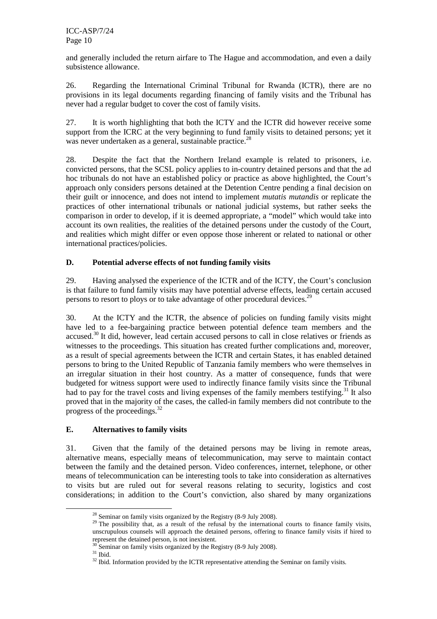and generally included the return airfare to The Hague and accommodation, and even a daily subsistence allowance.

26. Regarding the International Criminal Tribunal for Rwanda (ICTR), there are no provisions in its legal documents regarding financing of family visits and the Tribunal has never had a regular budget to cover the cost of family visits.

27. It is worth highlighting that both the ICTY and the ICTR did however receive some support from the ICRC at the very beginning to fund family visits to detained persons; yet it was never undertaken as a general, sustainable practice.<sup>28</sup>

28. Despite the fact that the Northern Ireland example is related to prisoners, i.e. convicted persons, that the SCSL policy applies to in-country detained persons and that the ad hoc tribunals do not have an established policy or practice as above highlighted, the Court's approach only considers persons detained at the Detention Centre pending a final decision on their guilt or innocence, and does not intend to implement *mutatis mutandis* or replicate the practices of other international tribunals or national judicial systems, but rather seeks the comparison in order to develop, if it is deemed appropriate, a "model" which would take into account its own realities, the realities of the detained persons under the custody of the Court, and realities which might differ or even oppose those inherent or related to national or other international practices/policies.

#### **D. Potential adverse effects of not funding family visits**

29. Having analysed the experience of the ICTR and of the ICTY, the Court's conclusion is that failure to fund family visits may have potential adverse effects, leading certain accused persons to resort to ploys or to take advantage of other procedural devices.<sup>29</sup>

30. At the ICTY and the ICTR, the absence of policies on funding family visits might have led to a fee-bargaining practice between potential defence team members and the accused.<sup>30</sup> It did, however, lead certain accused persons to call in close relatives or friends as witnesses to the proceedings. This situation has created further complications and, moreover, as a result of special agreements between the ICTR and certain States, it has enabled detained persons to bring to the United Republic of Tanzania family members who were themselves in an irregular situation in their host country. As a matter of consequence, funds that were budgeted for witness support were used to indirectly finance family visits since the Tribunal had to pay for the travel costs and living expenses of the family members testifying.<sup>31</sup> It also proved that in the majority of the cases, the called-in family members did not contribute to the progress of the proceedings. $32$ 

#### **E. Alternatives to family visits**

31. Given that the family of the detained persons may be living in remote areas, alternative means, especially means of telecommunication, may serve to maintain contact between the family and the detained person. Video conferences, internet, telephone, or other means of telecommunication can be interesting tools to take into consideration as alternatives to visits but are ruled out for several reasons relating to security, logistics and cost considerations; in addition to the Court's conviction, also shared by many organizations

 $28$  Seminar on family visits organized by the Registry (8-9 July 2008).

<sup>&</sup>lt;sup>29</sup> The possibility that, as a result of the refusal by the international courts to finance family visits, unscrupulous counsels will approach the detained persons, offering to finance family visits if hired to represent the detained person, is not inexistent.

 $30^{\circ}$  Seminar on family visits organized by the Registry (8-9 July 2008).

 $^{\rm 31}$  Ibid.

<sup>32</sup> Ibid*.* Information provided by the ICTR representative attending the Seminar on family visits*.*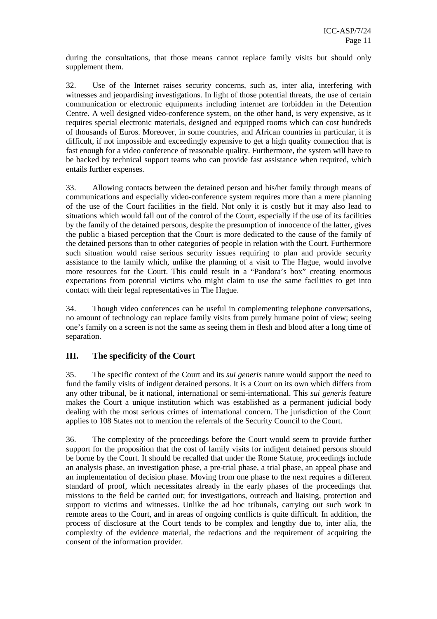during the consultations, that those means cannot replace family visits but should only supplement them.

32. Use of the Internet raises security concerns, such as, inter alia, interfering with witnesses and jeopardising investigations. In light of those potential threats, the use of certain communication or electronic equipments including internet are forbidden in the Detention Centre. A well designed video-conference system, on the other hand, is very expensive, as it requires special electronic materials, designed and equipped rooms which can cost hundreds of thousands of Euros. Moreover, in some countries, and African countries in particular, it is difficult, if not impossible and exceedingly expensive to get a high quality connection that is fast enough for a video conference of reasonable quality. Furthermore, the system will have to be backed by technical support teams who can provide fast assistance when required, which entails further expenses.

33. Allowing contacts between the detained person and his/her family through means of communications and especially video-conference system requires more than a mere planning of the use of the Court facilities in the field. Not only it is costly but it may also lead to situations which would fall out of the control of the Court, especially if the use of its facilities by the family of the detained persons, despite the presumption of innocence of the latter, gives the public a biased perception that the Court is more dedicated to the cause of the family of the detained persons than to other categories of people in relation with the Court. Furthermore such situation would raise serious security issues requiring to plan and provide security assistance to the family which, unlike the planning of a visit to The Hague, would involve more resources for the Court. This could result in a "Pandora's box" creating enormous expectations from potential victims who might claim to use the same facilities to get into contact with their legal representatives in The Hague.

34. Though video conferences can be useful in complementing telephone conversations, no amount of technology can replace family visits from purely humane point of view; seeing one's family on a screen is not the same as seeing them in flesh and blood after a long time of separation.

#### **III. The specificity of the Court**

35. The specific context of the Court and its *sui generis* nature would support the need to fund the family visits of indigent detained persons. It is a Court on its own which differs from any other tribunal, be it national, international or semi-international. This *sui generis* feature makes the Court a unique institution which was established as a permanent judicial body dealing with the most serious crimes of international concern. The jurisdiction of the Court applies to 108 States not to mention the referrals of the Security Council to the Court.

36. The complexity of the proceedings before the Court would seem to provide further support for the proposition that the cost of family visits for indigent detained persons should be borne by the Court. It should be recalled that under the Rome Statute, proceedings include an analysis phase, an investigation phase, a pre-trial phase, a trial phase, an appeal phase and an implementation of decision phase. Moving from one phase to the next requires a different standard of proof, which necessitates already in the early phases of the proceedings that missions to the field be carried out; for investigations, outreach and liaising, protection and support to victims and witnesses. Unlike the ad hoc tribunals, carrying out such work in remote areas to the Court, and in areas of ongoing conflicts is quite difficult. In addition, the process of disclosure at the Court tends to be complex and lengthy due to, inter alia, the complexity of the evidence material, the redactions and the requirement of acquiring the consent of the information provider.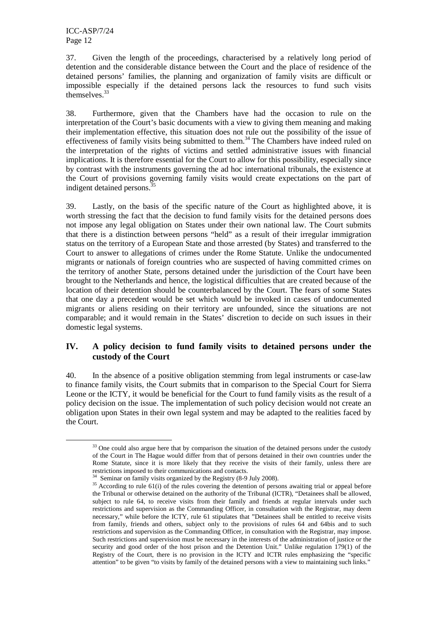ICC-ASP/7/24 Page 12

 $\overline{a}$ 

37. Given the length of the proceedings, characterised by a relatively long period of detention and the considerable distance between the Court and the place of residence of the detained persons' families, the planning and organization of family visits are difficult or impossible especially if the detained persons lack the resources to fund such visits themselves.<sup>33</sup>

38. Furthermore, given that the Chambers have had the occasion to rule on the interpretation of the Court's basic documents with a view to giving them meaning and making their implementation effective, this situation does not rule out the possibility of the issue of effectiveness of family visits being submitted to them.<sup>34</sup> The Chambers have indeed ruled on the interpretation of the rights of victims and settled administrative issues with financial implications. It is therefore essential for the Court to allow for this possibility, especially since by contrast with the instruments governing the ad hoc international tribunals, the existence at the Court of provisions governing family visits would create expectations on the part of indigent detained persons.<sup>3</sup>

39. Lastly, on the basis of the specific nature of the Court as highlighted above, it is worth stressing the fact that the decision to fund family visits for the detained persons does not impose any legal obligation on States under their own national law. The Court submits that there is a distinction between persons "held" as a result of their irregular immigration status on the territory of a European State and those arrested (by States) and transferred to the Court to answer to allegations of crimes under the Rome Statute. Unlike the undocumented migrants or nationals of foreign countries who are suspected of having committed crimes on the territory of another State, persons detained under the jurisdiction of the Court have been brought to the Netherlands and hence, the logistical difficulties that are created because of the location of their detention should be counterbalanced by the Court. The fears of some States that one day a precedent would be set which would be invoked in cases of undocumented migrants or aliens residing on their territory are unfounded, since the situations are not comparable; and it would remain in the States' discretion to decide on such issues in their domestic legal systems.

#### **IV. A policy decision to fund family visits to detained persons under the custody of the Court**

40. In the absence of a positive obligation stemming from legal instruments or case-law to finance family visits, the Court submits that in comparison to the Special Court for Sierra Leone or the ICTY, it would be beneficial for the Court to fund family visits as the result of a policy decision on the issue. The implementation of such policy decision would not create an obligation upon States in their own legal system and may be adapted to the realities faced by the Court.

<sup>&</sup>lt;sup>33</sup> One could also argue here that by comparison the situation of the detained persons under the custody of the Court in The Hague would differ from that of persons detained in their own countries under the Rome Statute, since it is more likely that they receive the visits of their family, unless there are restrictions imposed to their communications and contacts.

<sup>&</sup>lt;sup>34</sup> Seminar on family visits organized by the Registry (8-9 July 2008).

<sup>&</sup>lt;sup>35</sup> According to rule 61(i) of the rules covering the detention of persons awaiting trial or appeal before the Tribunal or otherwise detained on the authority of the Tribunal (ICTR), "Detainees shall be allowed, subject to rule 64, to receive visits from their family and friends at regular intervals under such restrictions and supervision as the Commanding Officer, in consultation with the Registrar, may deem necessary," while before the ICTY, rule 61 stipulates that "Detainees shall be entitled to receive visits from family, friends and others, subject only to the provisions of rules 64 and 64bis and to such restrictions and supervision as the Commanding Officer, in consultation with the Registrar, may impose. Such restrictions and supervision must be necessary in the interests of the administration of justice or the security and good order of the host prison and the Detention Unit." Unlike regulation 179(1) of the Registry of the Court, there is no provision in the ICTY and ICTR rules emphasizing the "specific attention" to be given "to visits by family of the detained persons with a view to maintaining such links."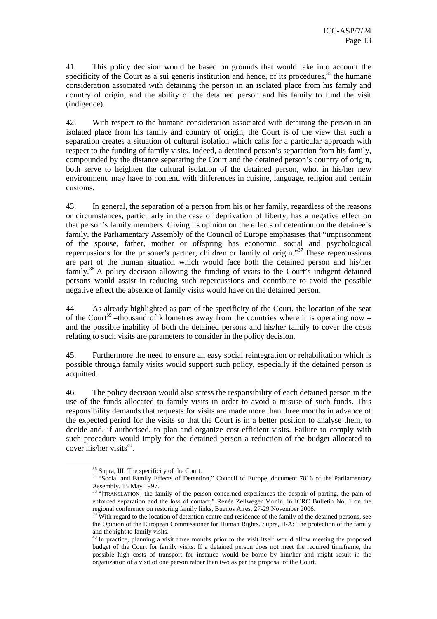41. This policy decision would be based on grounds that would take into account the specificity of the Court as a sui generis institution and hence, of its procedures,  $36$  the humane consideration associated with detaining the person in an isolated place from his family and country of origin, and the ability of the detained person and his family to fund the visit (indigence).

42. With respect to the humane consideration associated with detaining the person in an isolated place from his family and country of origin, the Court is of the view that such a separation creates a situation of cultural isolation which calls for a particular approach with respect to the funding of family visits. Indeed, a detained person's separation from his family, compounded by the distance separating the Court and the detained person's country of origin, both serve to heighten the cultural isolation of the detained person, who, in his/her new environment, may have to contend with differences in cuisine, language, religion and certain customs.

43. In general, the separation of a person from his or her family, regardless of the reasons or circumstances, particularly in the case of deprivation of liberty, has a negative effect on that person's family members. Giving its opinion on the effects of detention on the detainee's family, the Parliamentary Assembly of the Council of Europe emphasises that "imprisonment of the spouse, father, mother or offspring has economic, social and psychological repercussions for the prisoner's partner, children or family of origin."<sup>37</sup> These repercussions are part of the human situation which would face both the detained person and his/her  $fami<sup>38</sup> A policy decision allowing the funding of visits to the Court's indicator.$ persons would assist in reducing such repercussions and contribute to avoid the possible negative effect the absence of family visits would have on the detained person.

44. As already highlighted as part of the specificity of the Court, the location of the seat of the Court<sup>39</sup> –thousand of kilometres away from the countries where it is operating now – and the possible inability of both the detained persons and his/her family to cover the costs relating to such visits are parameters to consider in the policy decision.

45. Furthermore the need to ensure an easy social reintegration or rehabilitation which is possible through family visits would support such policy, especially if the detained person is acquitted.

46. The policy decision would also stress the responsibility of each detained person in the use of the funds allocated to family visits in order to avoid a misuse of such funds. This responsibility demands that requests for visits are made more than three months in advance of the expected period for the visits so that the Court is in a better position to analyse them, to decide and, if authorised, to plan and organize cost-efficient visits. Failure to comply with such procedure would imply for the detained person a reduction of the budget allocated to  $cover$  his/her visits<sup>40</sup>.

<sup>36</sup> Supra, III. The specificity of the Court.

<sup>&</sup>lt;sup>37</sup> "Social and Family Effects of Detention," Council of Europe, document 7816 of the Parliamentary Assembly, 15 May 1997.

<sup>&</sup>lt;sup>38</sup> "[TRANSLATION] the family of the person concerned experiences the despair of parting, the pain of enforced separation and the loss of contact," Renée Zellweger Monin, in ICRC Bulletin No. 1 on the regional conference on restoring family links, Buenos Aires, 27-29 November 2006.

<sup>&</sup>lt;sup>39</sup> With regard to the location of detention centre and residence of the family of the detained persons, see the Opinion of the European Commissioner for Human Rights. Supra, II-A: The protection of the family and the right to family visits.

<sup>&</sup>lt;sup>40</sup> In practice, planning a visit three months prior to the visit itself would allow meeting the proposed budget of the Court for family visits. If a detained person does not meet the required timeframe, the possible high costs of transport for instance would be borne by him/her and might result in the organization of a visit of one person rather than two as per the proposal of the Court.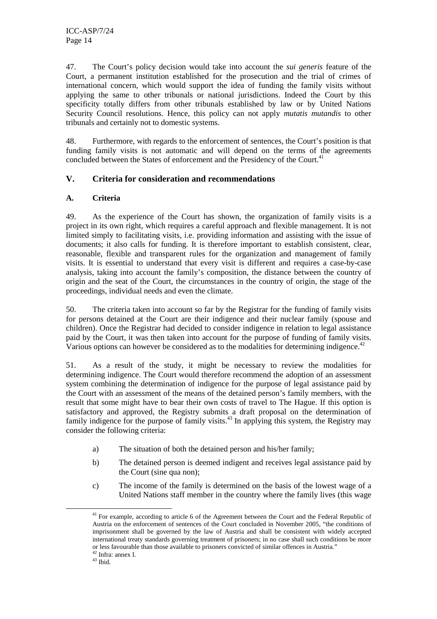47. The Court's policy decision would take into account the *sui generis* feature of the Court, a permanent institution established for the prosecution and the trial of crimes of international concern, which would support the idea of funding the family visits without applying the same to other tribunals or national jurisdictions. Indeed the Court by this specificity totally differs from other tribunals established by law or by United Nations Security Council resolutions. Hence, this policy can not apply *mutatis mutandis* to other tribunals and certainly not to domestic systems.

48. Furthermore, with regards to the enforcement of sentences, the Court's position is that funding family visits is not automatic and will depend on the terms of the agreements concluded between the States of enforcement and the Presidency of the Court.<sup>41</sup>

#### **V. Criteria for consideration and recommendations**

#### **A. Criteria**

49. As the experience of the Court has shown, the organization of family visits is a project in its own right, which requires a careful approach and flexible management. It is not limited simply to facilitating visits, i.e. providing information and assisting with the issue of documents; it also calls for funding. It is therefore important to establish consistent, clear, reasonable, flexible and transparent rules for the organization and management of family visits. It is essential to understand that every visit is different and requires a case-by-case analysis, taking into account the family's composition, the distance between the country of origin and the seat of the Court, the circumstances in the country of origin, the stage of the proceedings, individual needs and even the climate.

50. The criteria taken into account so far by the Registrar for the funding of family visits for persons detained at the Court are their indigence and their nuclear family (spouse and children). Once the Registrar had decided to consider indigence in relation to legal assistance paid by the Court, it was then taken into account for the purpose of funding of family visits. Various options can however be considered as to the modalities for determining indigence. $42$ 

51. As a result of the study, it might be necessary to review the modalities for determining indigence. The Court would therefore recommend the adoption of an assessment system combining the determination of indigence for the purpose of legal assistance paid by the Court with an assessment of the means of the detained person's family members, with the result that some might have to bear their own costs of travel to The Hague. If this option is satisfactory and approved, the Registry submits a draft proposal on the determination of family indigence for the purpose of family visits.<sup>43</sup> In applying this system, the Registry may consider the following criteria:

- a) The situation of both the detained person and his/her family;
- b) The detained person is deemed indigent and receives legal assistance paid by the Court (sine qua non);
- c) The income of the family is determined on the basis of the lowest wage of a United Nations staff member in the country where the family lives (this wage

<sup>&</sup>lt;sup>41</sup> For example, according to article 6 of the Agreement between the Court and the Federal Republic of Austria on the enforcement of sentences of the Court concluded in November 2005, "the conditions of imprisonment shall be governed by the law of Austria and shall be consistent with widely accepted international treaty standards governing treatment of prisoners; in no case shall such conditions be more or less favourable than those available to prisoners convicted of similar offences in Austria."

<sup>42</sup> Infra: annex I.

 $43$  Ibid.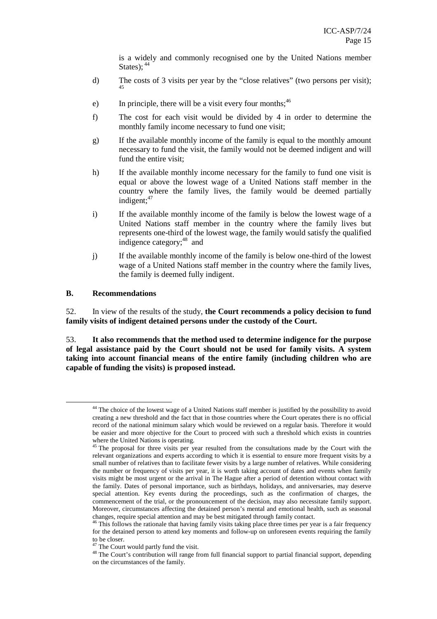is a widely and commonly recognised one by the United Nations member States);  $44$ 

- d) The costs of 3 visits per year by the "close relatives" (two persons per visit); 45
- e) In principle, there will be a visit every four months;  $46$
- f) The cost for each visit would be divided by 4 in order to determine the monthly family income necessary to fund one visit;
- g) If the available monthly income of the family is equal to the monthly amount necessary to fund the visit, the family would not be deemed indigent and will fund the entire visit;
- h) If the available monthly income necessary for the family to fund one visit is equal or above the lowest wage of a United Nations staff member in the country where the family lives, the family would be deemed partially indigent; $47$
- i) If the available monthly income of the family is below the lowest wage of a United Nations staff member in the country where the family lives but represents one-third of the lowest wage, the family would satisfy the qualified indigence category;<sup>48</sup> and
- j) If the available monthly income of the family is below one-third of the lowest wage of a United Nations staff member in the country where the family lives, the family is deemed fully indigent.

#### **B. Recommendations**

 $\overline{a}$ 

52. In view of the results of the study, **the Court recommends a policy decision to fund family visits of indigent detained persons under the custody of the Court.** 

53. **It also recommends that the method used to determine indigence for the purpose of legal assistance paid by the Court should not be used for family visits. A system taking into account financial means of the entire family (including children who are capable of funding the visits) is proposed instead.**

<sup>&</sup>lt;sup>44</sup> The choice of the lowest wage of a United Nations staff member is justified by the possibility to avoid creating a new threshold and the fact that in those countries where the Court operates there is no official record of the national minimum salary which would be reviewed on a regular basis. Therefore it would be easier and more objective for the Court to proceed with such a threshold which exists in countries where the United Nations is operating.

<sup>&</sup>lt;sup>45</sup> The proposal for three visits per year resulted from the consultations made by the Court with the relevant organizations and experts according to which it is essential to ensure more frequent visits by a small number of relatives than to facilitate fewer visits by a large number of relatives. While considering the number or frequency of visits per year, it is worth taking account of dates and events when family visits might be most urgent or the arrival in The Hague after a period of detention without contact with the family. Dates of personal importance, such as birthdays, holidays, and anniversaries, may deserve special attention. Key events during the proceedings, such as the confirmation of charges, the commencement of the trial, or the pronouncement of the decision, may also necessitate family support. Moreover, circumstances affecting the detained person's mental and emotional health, such as seasonal changes, require special attention and may be best mitigated through family contact.

<sup>&</sup>lt;sup>46</sup> This follows the rationale that having family visits taking place three times per year is a fair frequency for the detained person to attend key moments and follow-up on unforeseen events requiring the family to be closer.

 $47$  The Court would partly fund the visit.

<sup>&</sup>lt;sup>48</sup> The Court's contribution will range from full financial support to partial financial support, depending on the circumstances of the family.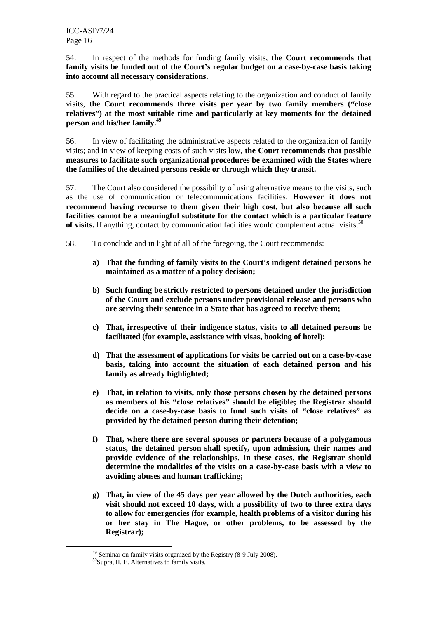54. In respect of the methods for funding family visits, **the Court recommends that family visits be funded out of the Court's regular budget on a case-by-case basis taking into account all necessary considerations.** 

55. With regard to the practical aspects relating to the organization and conduct of family visits, **the Court recommends three visits per year by two family members ("close relatives") at the most suitable time and particularly at key moments for the detained person and his/her family.<sup>49</sup>** 

56. In view of facilitating the administrative aspects related to the organization of family visits; and in view of keeping costs of such visits low, **the Court recommends that possible measures to facilitate such organizational procedures be examined with the States where the families of the detained persons reside or through which they transit.** 

57. The Court also considered the possibility of using alternative means to the visits, such as the use of communication or telecommunications facilities. **However it does not recommend having recourse to them given their high cost, but also because all such facilities cannot be a meaningful substitute for the contact which is a particular feature**  of visits. If anything, contact by communication facilities would complement actual visits.<sup>50</sup>

- 58. To conclude and in light of all of the foregoing, the Court recommends:
	- **a) That the funding of family visits to the Court's indigent detained persons be maintained as a matter of a policy decision;**
	- **b) Such funding be strictly restricted to persons detained under the jurisdiction of the Court and exclude persons under provisional release and persons who are serving their sentence in a State that has agreed to receive them;**
	- **c) That, irrespective of their indigence status, visits to all detained persons be facilitated (for example, assistance with visas, booking of hotel);**
	- **d) That the assessment of applications for visits be carried out on a case-by-case basis, taking into account the situation of each detained person and his family as already highlighted;**
	- **e) That, in relation to visits, only those persons chosen by the detained persons as members of his "close relatives" should be eligible; the Registrar should decide on a case-by-case basis to fund such visits of "close relatives" as provided by the detained person during their detention;**
	- **f) That, where there are several spouses or partners because of a polygamous status, the detained person shall specify, upon admission, their names and provide evidence of the relationships. In these cases, the Registrar should determine the modalities of the visits on a case-by-case basis with a view to avoiding abuses and human trafficking;**
	- **g) That, in view of the 45 days per year allowed by the Dutch authorities, each visit should not exceed 10 days, with a possibility of two to three extra days to allow for emergencies (for example, health problems of a visitor during his or her stay in The Hague, or other problems, to be assessed by the Registrar);**

<sup>49</sup> Seminar on family visits organized by the Registry (8-9 July 2008).

<sup>50</sup>Supra, II. E. Alternatives to family visits*.*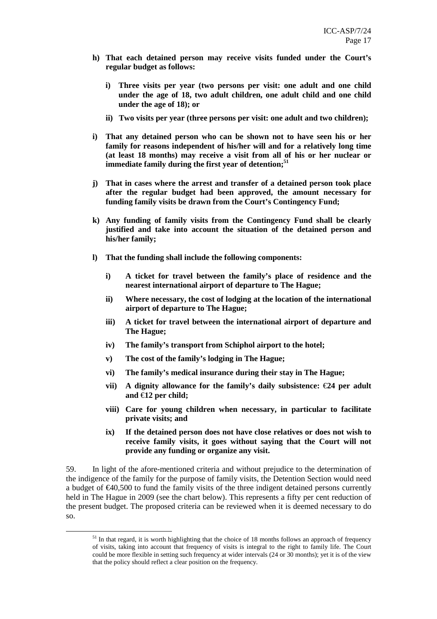- **h) That each detained person may receive visits funded under the Court's regular budget as follows:** 
	- **i) Three visits per year (two persons per visit: one adult and one child under the age of 18, two adult children, one adult child and one child under the age of 18); or**
	- **ii) Two visits per year (three persons per visit: one adult and two children);**
- **i) That any detained person who can be shown not to have seen his or her family for reasons independent of his/her will and for a relatively long time (at least 18 months) may receive a visit from all of his or her nuclear or immediate family during the first year of detention; 51**
- **j) That in cases where the arrest and transfer of a detained person took place after the regular budget had been approved, the amount necessary for funding family visits be drawn from the Court's Contingency Fund;**
- **k) Any funding of family visits from the Contingency Fund shall be clearly justified and take into account the situation of the detained person and his/her family;**
- **l) That the funding shall include the following components:** 
	- **i) A ticket for travel between the family's place of residence and the nearest international airport of departure to The Hague;**
	- **ii) Where necessary, the cost of lodging at the location of the international airport of departure to The Hague;**
	- **iii) A ticket for travel between the international airport of departure and The Hague;**
	- **iv) The family's transport from Schiphol airport to the hotel;**
	- **v) The cost of the family's lodging in The Hague;**
	- **vi) The family's medical insurance during their stay in The Hague;**
	- **vii)** A dignity allowance for the family's daily subsistence:  $\epsilon$ 24 per adult **and** €**12 per child;**
	- **viii) Care for young children when necessary, in particular to facilitate private visits; and**
	- **ix) If the detained person does not have close relatives or does not wish to receive family visits, it goes without saying that the Court will not provide any funding or organize any visit.**

59. In light of the afore-mentioned criteria and without prejudice to the determination of the indigence of the family for the purpose of family visits, the Detention Section would need a budget of  $\epsilon$ 40,500 to fund the family visits of the three indigent detained persons currently held in The Hague in 2009 (see the chart below). This represents a fifty per cent reduction of the present budget. The proposed criteria can be reviewed when it is deemed necessary to do so.

<sup>&</sup>lt;sup>51</sup> In that regard, it is worth highlighting that the choice of 18 months follows an approach of frequency of visits, taking into account that frequency of visits is integral to the right to family life. The Court could be more flexible in setting such frequency at wider intervals (24 or 30 months); yet it is of the view that the policy should reflect a clear position on the frequency.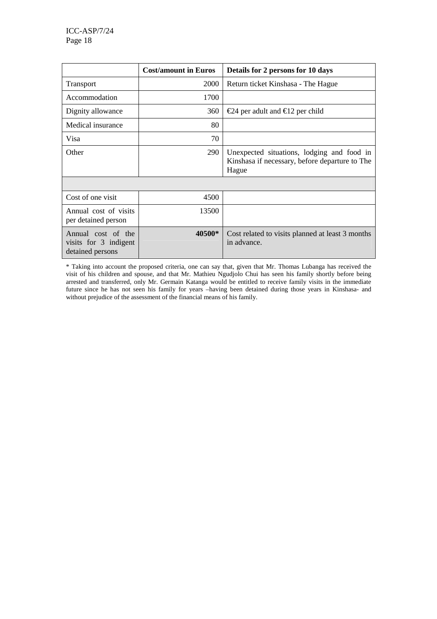|                                                                 | <b>Cost/amount in Euros</b> | Details for 2 persons for 10 days                                                                     |
|-----------------------------------------------------------------|-----------------------------|-------------------------------------------------------------------------------------------------------|
| <b>Transport</b>                                                | 2000                        | Return ticket Kinshasa - The Hague                                                                    |
| Accommodation                                                   | 1700                        |                                                                                                       |
| Dignity allowance                                               | 360                         | $€24$ per adult and €12 per child                                                                     |
| Medical insurance                                               | 80                          |                                                                                                       |
| Visa                                                            | 70                          |                                                                                                       |
| Other                                                           | 290                         | Unexpected situations, lodging and food in<br>Kinshasa if necessary, before departure to The<br>Hague |
|                                                                 |                             |                                                                                                       |
| Cost of one visit                                               | 4500                        |                                                                                                       |
| Annual cost of visits<br>per detained person                    | 13500                       |                                                                                                       |
| Annual cost of the<br>visits for 3 indigent<br>detained persons | 40500*                      | Cost related to visits planned at least 3 months<br>in advance.                                       |

\* Taking into account the proposed criteria, one can say that, given that Mr. Thomas Lubanga has received the visit of his children and spouse, and that Mr. Mathieu Ngudjolo Chui has seen his family shortly before being arrested and transferred, only Mr. Germain Katanga would be entitled to receive family visits in the immediate future since he has not seen his family for years –having been detained during those years in Kinshasa- and without prejudice of the assessment of the financial means of his family.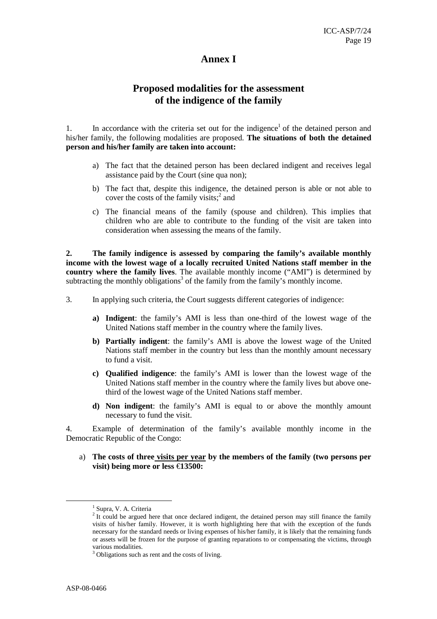#### **Annex I**

### **Proposed modalities for the assessment of the indigence of the family**

1. In accordance with the criteria set out for the indigence<sup>1</sup> of the detained person and his/her family, the following modalities are proposed. **The situations of both the detained person and his/her family are taken into account:** 

- a) The fact that the detained person has been declared indigent and receives legal assistance paid by the Court (sine qua non);
- b) The fact that, despite this indigence, the detained person is able or not able to cover the costs of the family visits; $^2$  and
- c) The financial means of the family (spouse and children). This implies that children who are able to contribute to the funding of the visit are taken into consideration when assessing the means of the family.

**2. The family indigence is assessed by comparing the family's available monthly income with the lowest wage of a locally recruited United Nations staff member in the country where the family lives**. The available monthly income ("AMI") is determined by subtracting the monthly obligations<sup>3</sup> of the family from the family's monthly income.

- 3. In applying such criteria, the Court suggests different categories of indigence:
	- **a) Indigent**: the family's AMI is less than one-third of the lowest wage of the United Nations staff member in the country where the family lives.
	- **b) Partially indigent**: the family's AMI is above the lowest wage of the United Nations staff member in the country but less than the monthly amount necessary to fund a visit.
	- **c) Qualified indigence**: the family's AMI is lower than the lowest wage of the United Nations staff member in the country where the family lives but above onethird of the lowest wage of the United Nations staff member.
	- **d) Non indigent**: the family's AMI is equal to or above the monthly amount necessary to fund the visit.

4. Example of determination of the family's available monthly income in the Democratic Republic of the Congo:

a) **The costs of three visits per year by the members of the family (two persons per visit) being more or less** €**13500:** 

<sup>&</sup>lt;sup>1</sup> Supra, V. A. Criteria

 $2$  It could be argued here that once declared indigent, the detained person may still finance the family visits of his/her family. However, it is worth highlighting here that with the exception of the funds necessary for the standard needs or living expenses of his/her family, it is likely that the remaining funds or assets will be frozen for the purpose of granting reparations to or compensating the victims, through various modalities.

<sup>&</sup>lt;sup>3</sup> Obligations such as rent and the costs of living.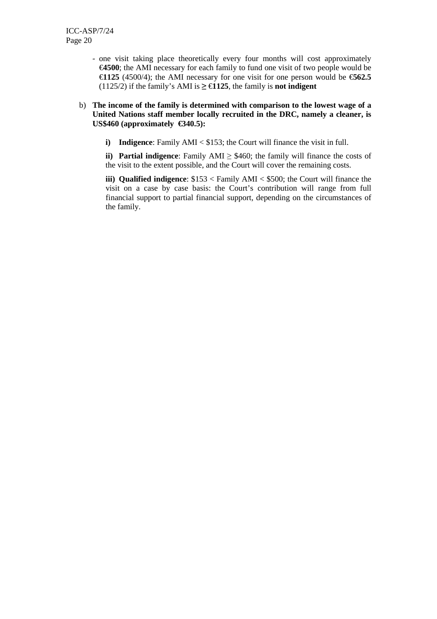- one visit taking place theoretically every four months will cost approximately €**4500**; the AMI necessary for each family to fund one visit of two people would be €**1125** (4500/4); the AMI necessary for one visit for one person would be €**562.5**  (1125/2) if the family's AMI is ≥ €**1125**, the family is **not indigent**

#### b) **The income of the family is determined with comparison to the lowest wage of a United Nations staff member locally recruited in the DRC, namely a cleaner, is US\$460 (approximately €340.5):**

**i)** Indigence: Family AMI < \$153; the Court will finance the visit in full.

**ii)** Partial indigence: Family AMI  $\geq$  \$460; the family will finance the costs of the visit to the extent possible, and the Court will cover the remaining costs.

**iii) Qualified indigence**: \$153 < Family AMI < \$500; the Court will finance the visit on a case by case basis: the Court's contribution will range from full financial support to partial financial support, depending on the circumstances of the family.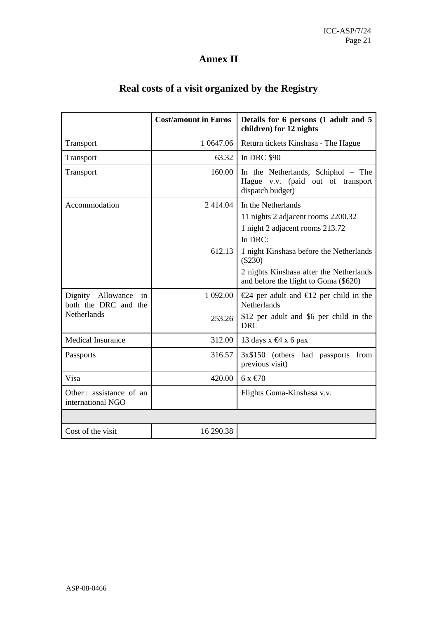# **Annex II**

|  |  |  |  |  |  |  | Real costs of a visit organized by the Registry |
|--|--|--|--|--|--|--|-------------------------------------------------|
|--|--|--|--|--|--|--|-------------------------------------------------|

|                                                                | <b>Cost/amount in Euros</b> | Details for 6 persons (1 adult and 5<br>children) for 12 nights                                                                          |
|----------------------------------------------------------------|-----------------------------|------------------------------------------------------------------------------------------------------------------------------------------|
| Transport                                                      | 1 0 647.06                  | Return tickets Kinshasa - The Hague                                                                                                      |
| Transport                                                      | 63.32                       | <b>In DRC \$90</b>                                                                                                                       |
| Transport                                                      | 160.00                      | In the Netherlands, Schiphol - The<br>Hague v.v. (paid out of transport<br>dispatch budget)                                              |
| Accommodation                                                  | 2414.04                     | In the Netherlands<br>11 nights 2 adjacent rooms 2200.32<br>1 night 2 adjacent rooms 213.72<br>In DRC:                                   |
|                                                                | 612.13                      | 1 night Kinshasa before the Netherlands<br>$(\$230)$<br>2 nights Kinshasa after the Netherlands<br>and before the flight to Goma (\$620) |
| Dignity Allowance<br>in<br>both the DRC and the<br>Netherlands | 1 092.00<br>253.26          | €24 per adult and €12 per child in the<br>Netherlands<br>\$12 per adult and \$6 per child in the                                         |
|                                                                |                             | <b>DRC</b>                                                                                                                               |
| Medical Insurance                                              | 312.00                      | 13 days $x \in 4$ x 6 pax                                                                                                                |
| Passports                                                      | 316.57                      | 3x\$150 (others had passports from<br>previous visit)                                                                                    |
| Visa                                                           | 420.00                      | $6x \text{ } \in 70$                                                                                                                     |
| Other: assistance of an<br>international NGO                   |                             | Flights Goma-Kinshasa v.v.                                                                                                               |
|                                                                |                             |                                                                                                                                          |
| Cost of the visit                                              | 16 290.38                   |                                                                                                                                          |